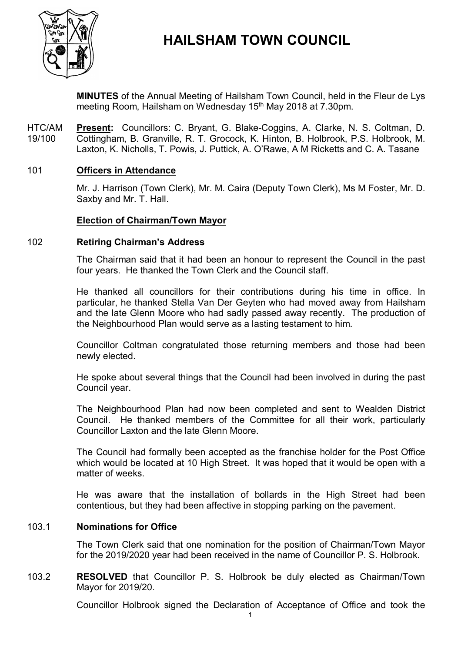

# **HAILSHAM TOWN COUNCIL**

**MINUTES** of the Annual Meeting of Hailsham Town Council, held in the Fleur de Lys meeting Room, Hailsham on Wednesday 15<sup>th</sup> May 2018 at 7.30pm.

HTC/AM 19/100 **Present:** Councillors: C. Bryant, G. Blake-Coggins, A. Clarke, N. S. Coltman, D. Cottingham, B. Granville, R. T. Grocock, K. Hinton, B. Holbrook, P.S. Holbrook, M. Laxton, K. Nicholls, T. Powis, J. Puttick, A. O'Rawe, A M Ricketts and C. A. Tasane

# 101 **Officers in Attendance**

Mr. J. Harrison (Town Clerk), Mr. M. Caira (Deputy Town Clerk), Ms M Foster, Mr. D. Saxby and Mr. T. Hall.

# **Election of Chairman/Town Mayor**

#### 102 **Retiring Chairman's Address**

The Chairman said that it had been an honour to represent the Council in the past four years. He thanked the Town Clerk and the Council staff.

He thanked all councillors for their contributions during his time in office. In particular, he thanked Stella Van Der Geyten who had moved away from Hailsham and the late Glenn Moore who had sadly passed away recently. The production of the Neighbourhood Plan would serve as a lasting testament to him.

Councillor Coltman congratulated those returning members and those had been newly elected.

He spoke about several things that the Council had been involved in during the past Council year.

The Neighbourhood Plan had now been completed and sent to Wealden District Council. He thanked members of the Committee for all their work, particularly Councillor Laxton and the late Glenn Moore.

The Council had formally been accepted as the franchise holder for the Post Office which would be located at 10 High Street. It was hoped that it would be open with a matter of weeks

He was aware that the installation of bollards in the High Street had been contentious, but they had been affective in stopping parking on the pavement.

### 103.1 **Nominations for Office**

The Town Clerk said that one nomination for the position of Chairman/Town Mayor for the 2019/2020 year had been received in the name of Councillor P. S. Holbrook.

### 103.2 **RESOLVED** that Councillor P. S. Holbrook be duly elected as Chairman/Town Mayor for 2019/20.

Councillor Holbrook signed the Declaration of Acceptance of Office and took the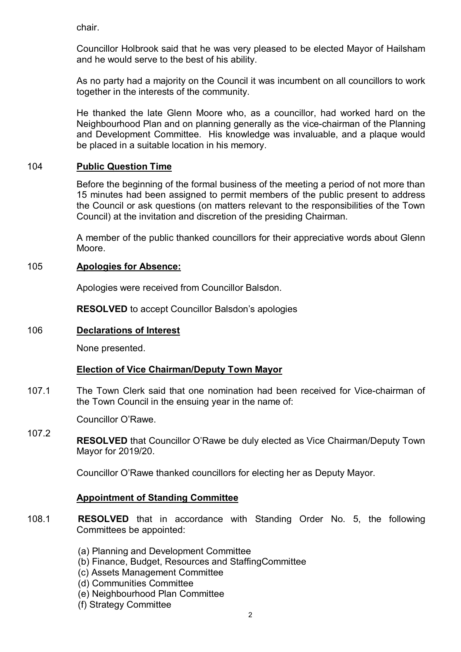chair.

Councillor Holbrook said that he was very pleased to be elected Mayor of Hailsham and he would serve to the best of his ability.

As no party had a majority on the Council it was incumbent on all councillors to work together in the interests of the community.

He thanked the late Glenn Moore who, as a councillor, had worked hard on the Neighbourhood Plan and on planning generally as the vice-chairman of the Planning and Development Committee. His knowledge was invaluable, and a plaque would be placed in a suitable location in his memory.

# 104 **Public Question Time**

Before the beginning of the formal business of the meeting a period of not more than 15 minutes had been assigned to permit members of the public present to address the Council or ask questions (on matters relevant to the responsibilities of the Town Council) at the invitation and discretion of the presiding Chairman.

A member of the public thanked councillors for their appreciative words about Glenn Moore.

# 105 **Apologies for Absence:**

Apologies were received from Councillor Balsdon.

**RESOLVED** to accept Councillor Balsdon's apologies

# 106 **Declarations of Interest**

None presented.

# **Election of Vice Chairman/Deputy Town Mayor**

107.1 The Town Clerk said that one nomination had been received for Vice-chairman of the Town Council in the ensuing year in the name of:

Councillor O'Rawe.

107.2 **RESOLVED** that Councillor O'Rawe be duly elected as Vice Chairman/Deputy Town Mayor for 2019/20.

Councillor O'Rawe thanked councillors for electing her as Deputy Mayor.

# **Appointment of Standing Committee**

- 108.1 **RESOLVED** that in accordance with Standing Order No. 5, the following Committees be appointed:
	- (a) Planning and Development Committee
	- (b) Finance, Budget, Resources and StaffingCommittee
	- (c) Assets Management Committee
	- (d) Communities Committee
	- (e) Neighbourhood Plan Committee
	- (f) Strategy Committee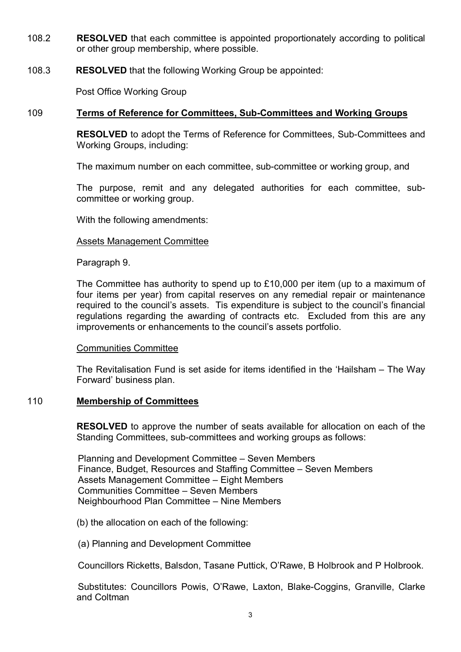- 108.2 **RESOLVED** that each committee is appointed proportionately according to political or other group membership, where possible.
- 108.3 **RESOLVED** that the following Working Group be appointed:

Post Office Working Group

# 109 **Terms of Reference for Committees, Sub-Committees and Working Groups**

**RESOLVED** to adopt the Terms of Reference for Committees, Sub-Committees and Working Groups, including:

The maximum number on each committee, sub-committee or working group, and

The purpose, remit and any delegated authorities for each committee, subcommittee or working group.

With the following amendments:

# Assets Management Committee

Paragraph 9.

The Committee has authority to spend up to £10,000 per item (up to a maximum of four items per year) from capital reserves on any remedial repair or maintenance required to the council's assets. Tis expenditure is subject to the council's financial regulations regarding the awarding of contracts etc. Excluded from this are any improvements or enhancements to the council's assets portfolio.

# Communities Committee

The Revitalisation Fund is set aside for items identified in the 'Hailsham – The Way Forward' business plan.

# 110 **Membership of Committees**

**RESOLVED** to approve the number of seats available for allocation on each of the Standing Committees, sub-committees and working groups as follows:

Planning and Development Committee – Seven Members Finance, Budget, Resources and Staffing Committee – Seven Members Assets Management Committee – Eight Members Communities Committee – Seven Members Neighbourhood Plan Committee – Nine Members

(b) the allocation on each of the following:

(a) Planning and Development Committee

Councillors Ricketts, Balsdon, Tasane Puttick, O'Rawe, B Holbrook and P Holbrook.

Substitutes: Councillors Powis, O'Rawe, Laxton, Blake-Coggins, Granville, Clarke and Coltman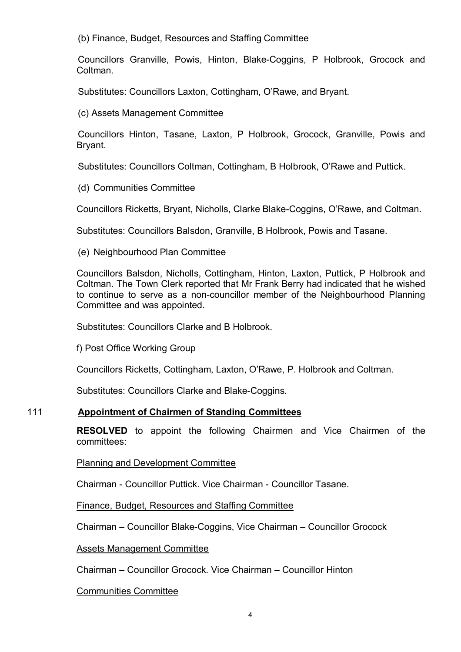(b) Finance, Budget, Resources and Staffing Committee

Councillors Granville, Powis, Hinton, Blake-Coggins, P Holbrook, Grocock and Coltman.

Substitutes: Councillors Laxton, Cottingham, O'Rawe, and Bryant.

(c) Assets Management Committee

Councillors Hinton, Tasane, Laxton, P Holbrook, Grocock, Granville, Powis and Bryant.

Substitutes: Councillors Coltman, Cottingham, B Holbrook, O'Rawe and Puttick.

(d) Communities Committee

Councillors Ricketts, Bryant, Nicholls, Clarke Blake-Coggins, O'Rawe, and Coltman.

Substitutes: Councillors Balsdon, Granville, B Holbrook, Powis and Tasane.

(e) Neighbourhood Plan Committee

Councillors Balsdon, Nicholls, Cottingham, Hinton, Laxton, Puttick, P Holbrook and Coltman. The Town Clerk reported that Mr Frank Berry had indicated that he wished to continue to serve as a non-councillor member of the Neighbourhood Planning Committee and was appointed.

Substitutes: Councillors Clarke and B Holbrook.

f) Post Office Working Group

Councillors Ricketts, Cottingham, Laxton, O'Rawe, P. Holbrook and Coltman.

Substitutes: Councillors Clarke and Blake-Coggins.

# 111 **Appointment of Chairmen of Standing Committees**

**RESOLVED** to appoint the following Chairmen and Vice Chairmen of the committees:

Planning and Development Committee

Chairman - Councillor Puttick. Vice Chairman - Councillor Tasane.

Finance, Budget, Resources and Staffing Committee

Chairman – Councillor Blake-Coggins, Vice Chairman – Councillor Grocock

# Assets Management Committee

Chairman – Councillor Grocock. Vice Chairman – Councillor Hinton

### Communities Committee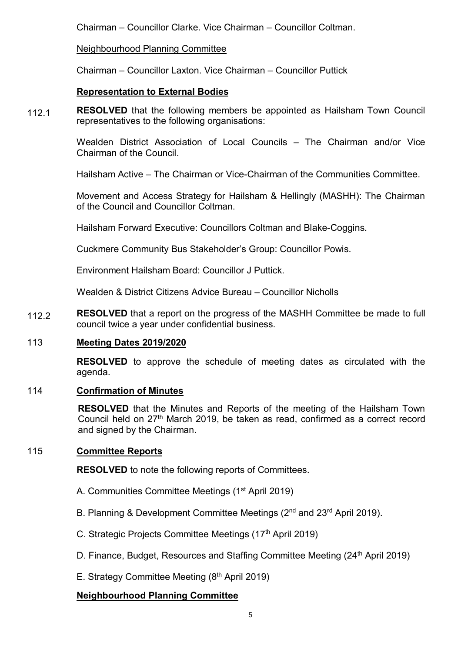Chairman – Councillor Clarke. Vice Chairman – Councillor Coltman.

# Neighbourhood Planning Committee

Chairman – Councillor Laxton. Vice Chairman – Councillor Puttick

# **Representation to External Bodies**

112.1 **RESOLVED** that the following members be appointed as Hailsham Town Council representatives to the following organisations:

> Wealden District Association of Local Councils – The Chairman and/or Vice Chairman of the Council.

Hailsham Active – The Chairman or Vice-Chairman of the Communities Committee.

Movement and Access Strategy for Hailsham & Hellingly (MASHH): The Chairman of the Council and Councillor Coltman.

Hailsham Forward Executive: Councillors Coltman and Blake-Coggins.

Cuckmere Community Bus Stakeholder's Group: Councillor Powis.

Environment Hailsham Board: Councillor J Puttick.

Wealden & District Citizens Advice Bureau – Councillor Nicholls

112.2 **RESOLVED** that a report on the progress of the MASHH Committee be made to full council twice a year under confidential business.

# 113 **Meeting Dates 2019/2020**

**RESOLVED** to approve the schedule of meeting dates as circulated with the agenda.

# 114 **Confirmation of Minutes**

**RESOLVED** that the Minutes and Reports of the meeting of the Hailsham Town Council held on 27<sup>th</sup> March 2019, be taken as read, confirmed as a correct record and signed by the Chairman.

# 115 **Committee Reports**

**RESOLVED** to note the following reports of Committees.

- A. Communities Committee Meetings (1<sup>st</sup> April 2019)
- B. Planning & Development Committee Meetings (2<sup>nd</sup> and 23<sup>rd</sup> April 2019).
- C. Strategic Projects Committee Meetings (17<sup>th</sup> April 2019)
- D. Finance, Budget, Resources and Staffing Committee Meeting (24<sup>th</sup> April 2019)
- E. Strategy Committee Meeting  $(8<sup>th</sup>$  April 2019)

# **Neighbourhood Planning Committee**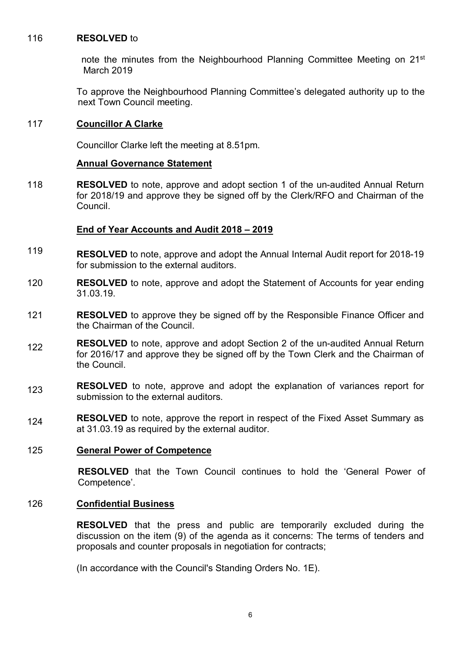# 116 **RESOLVED** to

note the minutes from the Neighbourhood Planning Committee Meeting on 21<sup>st</sup> March 2019

To approve the Neighbourhood Planning Committee's delegated authority up to the next Town Council meeting.

# 117 **Councillor A Clarke**

Councillor Clarke left the meeting at 8.51pm.

# **Annual Governance Statement**

118 **RESOLVED** to note, approve and adopt section 1 of the un-audited Annual Return for 2018/19 and approve they be signed off by the Clerk/RFO and Chairman of the Council.

# **End of Year Accounts and Audit 2018 – 2019**

- 119 **RESOLVED** to note, approve and adopt the Annual Internal Audit report for 2018-19 for submission to the external auditors.
- 120 **RESOLVED** to note, approve and adopt the Statement of Accounts for year ending 31.03.19.
- 121 **RESOLVED** to approve they be signed off by the Responsible Finance Officer and the Chairman of the Council.
- 122 **RESOLVED** to note, approve and adopt Section 2 of the un-audited Annual Return for 2016/17 and approve they be signed off by the Town Clerk and the Chairman of the Council.
- 123 **RESOLVED** to note, approve and adopt the explanation of variances report for submission to the external auditors.
- 124 **RESOLVED** to note, approve the report in respect of the Fixed Asset Summary as at 31.03.19 as required by the external auditor.

# 125 **General Power of Competence**

**RESOLVED** that the Town Council continues to hold the 'General Power of Competence'.

# 126 **Confidential Business**

**RESOLVED** that the press and public are temporarily excluded during the discussion on the item (9) of the agenda as it concerns: The terms of tenders and proposals and counter proposals in negotiation for contracts;

(In accordance with the Council's Standing Orders No. 1E).